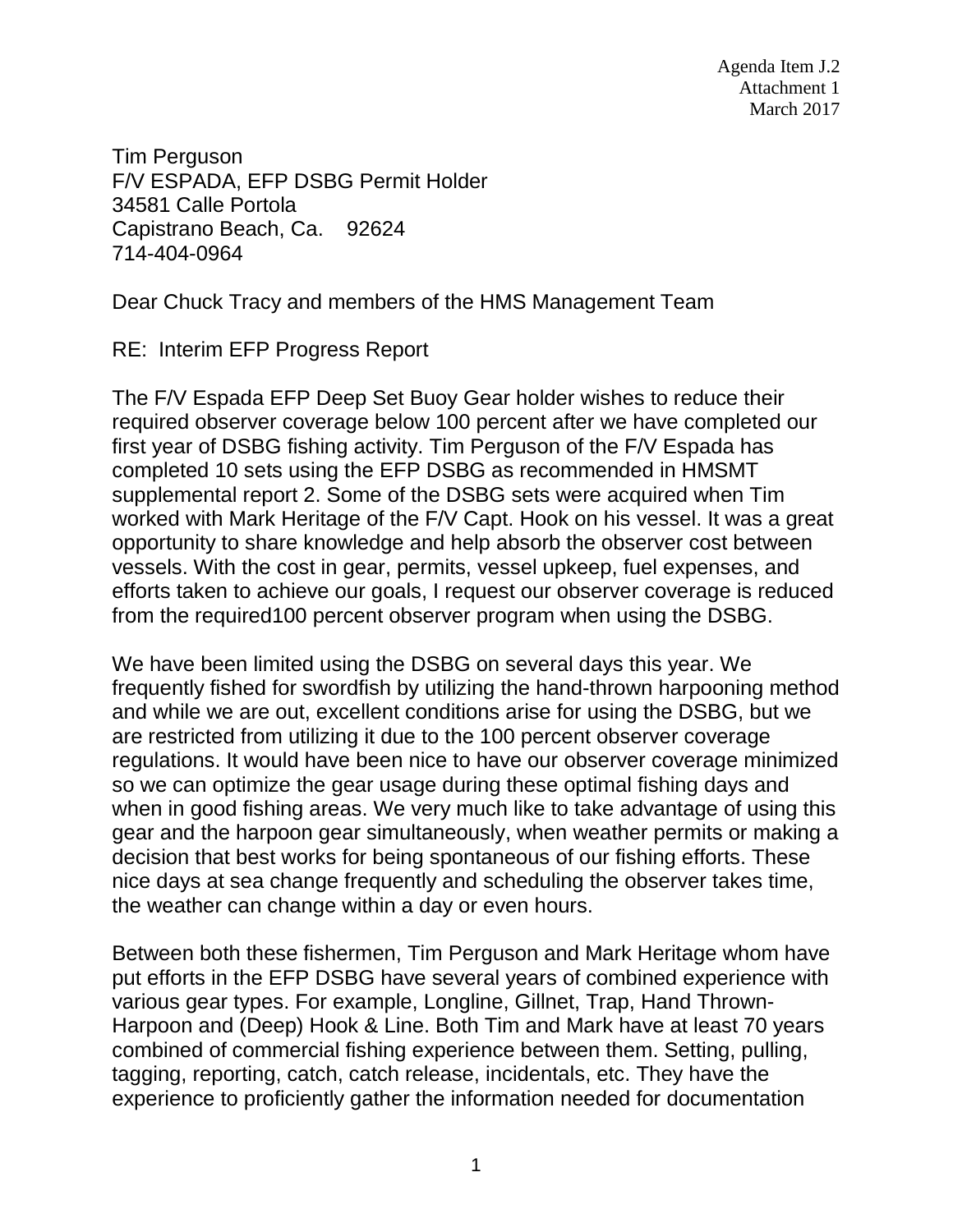Agenda Item J.2 Attachment 1 March 2017

Tim Perguson F/V ESPADA, EFP DSBG Permit Holder 34581 Calle Portola Capistrano Beach, Ca. 92624 714-404-0964

Dear Chuck Tracy and members of the HMS Management Team

RE: Interim EFP Progress Report

The F/V Espada EFP Deep Set Buoy Gear holder wishes to reduce their required observer coverage below 100 percent after we have completed our first year of DSBG fishing activity. Tim Perguson of the F/V Espada has completed 10 sets using the EFP DSBG as recommended in HMSMT supplemental report 2. Some of the DSBG sets were acquired when Tim worked with Mark Heritage of the F/V Capt. Hook on his vessel. It was a great opportunity to share knowledge and help absorb the observer cost between vessels. With the cost in gear, permits, vessel upkeep, fuel expenses, and efforts taken to achieve our goals, I request our observer coverage is reduced from the required100 percent observer program when using the DSBG.

We have been limited using the DSBG on several days this year. We frequently fished for swordfish by utilizing the hand-thrown harpooning method and while we are out, excellent conditions arise for using the DSBG, but we are restricted from utilizing it due to the 100 percent observer coverage regulations. It would have been nice to have our observer coverage minimized so we can optimize the gear usage during these optimal fishing days and when in good fishing areas. We very much like to take advantage of using this gear and the harpoon gear simultaneously, when weather permits or making a decision that best works for being spontaneous of our fishing efforts. These nice days at sea change frequently and scheduling the observer takes time, the weather can change within a day or even hours.

Between both these fishermen, Tim Perguson and Mark Heritage whom have put efforts in the EFP DSBG have several years of combined experience with various gear types. For example, Longline, Gillnet, Trap, Hand Thrown-Harpoon and (Deep) Hook & Line. Both Tim and Mark have at least 70 years combined of commercial fishing experience between them. Setting, pulling, tagging, reporting, catch, catch release, incidentals, etc. They have the experience to proficiently gather the information needed for documentation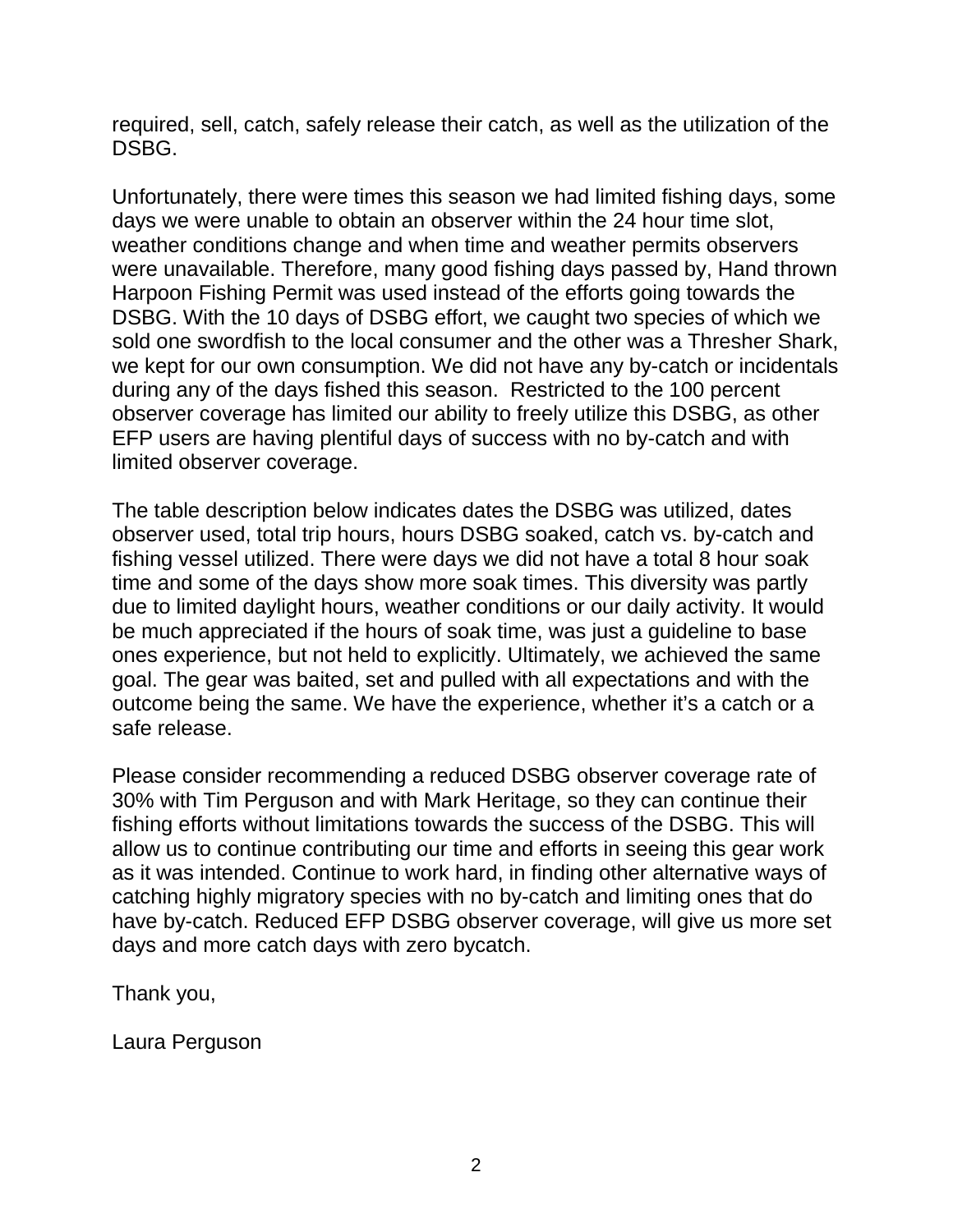required, sell, catch, safely release their catch, as well as the utilization of the DSBG.

Unfortunately, there were times this season we had limited fishing days, some days we were unable to obtain an observer within the 24 hour time slot, weather conditions change and when time and weather permits observers were unavailable. Therefore, many good fishing days passed by, Hand thrown Harpoon Fishing Permit was used instead of the efforts going towards the DSBG. With the 10 days of DSBG effort, we caught two species of which we sold one swordfish to the local consumer and the other was a Thresher Shark, we kept for our own consumption. We did not have any by-catch or incidentals during any of the days fished this season. Restricted to the 100 percent observer coverage has limited our ability to freely utilize this DSBG, as other EFP users are having plentiful days of success with no by-catch and with limited observer coverage.

The table description below indicates dates the DSBG was utilized, dates observer used, total trip hours, hours DSBG soaked, catch vs. by-catch and fishing vessel utilized. There were days we did not have a total 8 hour soak time and some of the days show more soak times. This diversity was partly due to limited daylight hours, weather conditions or our daily activity. It would be much appreciated if the hours of soak time, was just a guideline to base ones experience, but not held to explicitly. Ultimately, we achieved the same goal. The gear was baited, set and pulled with all expectations and with the outcome being the same. We have the experience, whether it's a catch or a safe release.

Please consider recommending a reduced DSBG observer coverage rate of 30% with Tim Perguson and with Mark Heritage, so they can continue their fishing efforts without limitations towards the success of the DSBG. This will allow us to continue contributing our time and efforts in seeing this gear work as it was intended. Continue to work hard, in finding other alternative ways of catching highly migratory species with no by-catch and limiting ones that do have by-catch. Reduced EFP DSBG observer coverage, will give us more set days and more catch days with zero bycatch.

Thank you,

Laura Perguson